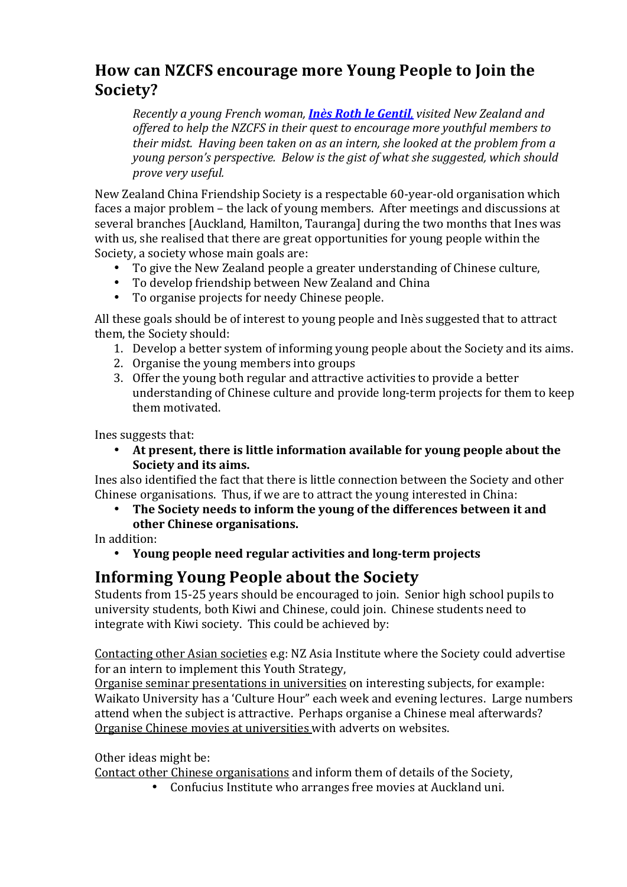# How can NZCFS encourage more Young People to Join the **Society?**

*Recently a young French woman, Inès Roth le Gentil, visited New Zealand and* offered to help the NZCFS in their quest to encourage more youthful members to *their midst. Having been taken on as an intern, she looked at the problem from a young person's perspective. Below is the gist of what she suggested, which should prove very useful.*

New Zealand China Friendship Society is a respectable 60-year-old organisation which faces a major problem – the lack of young members. After meetings and discussions at several branches [Auckland, Hamilton, Tauranga] during the two months that Ines was with us, she realised that there are great opportunities for young people within the Society, a society whose main goals are:

- To give the New Zealand people a greater understanding of Chinese culture,
- To develop friendship between New Zealand and China
- To organise projects for needy Chinese people.

All these goals should be of interest to young people and Inès suggested that to attract them, the Society should:

- 1. Develop a better system of informing young people about the Society and its aims.
- 2. Organise the young members into groups
- 3. Offer the young both regular and attractive activities to provide a better understanding of Chinese culture and provide long-term projects for them to keep them motivated.

Ines suggests that:

At present, there is little information available for young people about the **Society and its aims.**

Ines also identified the fact that there is little connection between the Society and other Chinese organisations. Thus, if we are to attract the young interested in China:

The Society needs to inform the young of the differences between it and **other Chinese organisations.**

In addition:

Young people need regular activities and long-term projects

### **Informing Young People about the Society**

Students from 15-25 years should be encouraged to join. Senior high school pupils to university students, both Kiwi and Chinese, could join. Chinese students need to integrate with Kiwi society. This could be achieved by:

Contacting other Asian societies e.g: NZ Asia Institute where the Society could advertise for an intern to implement this Youth Strategy,

Organise seminar presentations in universities on interesting subjects, for example: Waikato University has a 'Culture Hour" each week and evening lectures. Large numbers attend when the subject is attractive. Perhaps organise a Chinese meal afterwards? Organise Chinese movies at universities with adverts on websites.

Other ideas might be:

Contact other Chinese organisations and inform them of details of the Society,

• Confucius Institute who arranges free movies at Auckland uni.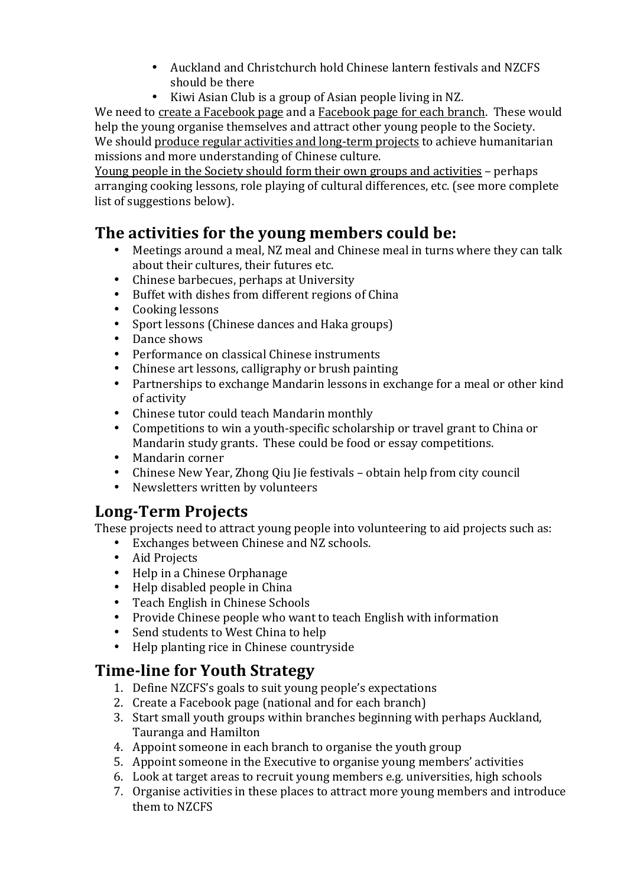- Auckland and Christchurch hold Chinese lantern festivals and NZCFS should be there
- Kiwi Asian Club is a group of Asian people living in NZ.

We need to create a Facebook page and a Facebook page for each branch. These would help the young organise themselves and attract other young people to the Society. We should produce regular activities and long-term projects to achieve humanitarian missions and more understanding of Chinese culture.

Young people in the Society should form their own groups and activities – perhaps arranging cooking lessons, role playing of cultural differences, etc. (see more complete list of suggestions below).

# **The activities for the young members could be:**

- Meetings around a meal, NZ meal and Chinese meal in turns where they can talk about their cultures, their futures etc.
- Chinese barbecues, perhaps at University
- Buffet with dishes from different regions of China<br>• Cooking lessons
- Cooking lessons
- Sport lessons (Chinese dances and Haka groups)
- Dance shows
- Performance on classical Chinese instruments<br>• Chinese art lessons, calligraphy or brush painti
- Chinese art lessons, calligraphy or brush painting
- Partnerships to exchange Mandarin lessons in exchange for a meal or other kind of activity
- Chinese tutor could teach Mandarin monthly
- Competitions to win a youth-specific scholarship or travel grant to China or Mandarin study grants. These could be food or essay competitions.
- Mandarin corner
- Chinese New Year, Zhong Qiu Jie festivals obtain help from city council
- Newsletters written by volunteers

# **Long-Term Projects**

These projects need to attract voung people into volunteering to aid projects such as:

- Exchanges between Chinese and NZ schools.
- Aid Projects
- Help in a Chinese Orphanage
- Help disabled people in China<br>• Teach English in Chinese Scho
- Teach English in Chinese Schools
- Provide Chinese people who want to teach English with information
- Send students to West China to help
- Help planting rice in Chinese countryside

# **Time-line for Youth Strategy**

- 1. Define NZCFS's goals to suit young people's expectations
- 2. Create a Facebook page (national and for each branch)
- 3. Start small youth groups within branches beginning with perhaps Auckland, Tauranga and Hamilton
- 4. Appoint someone in each branch to organise the vouth group
- 5. Appoint someone in the Executive to organise young members' activities
- 6. Look at target areas to recruit young members e.g. universities, high schools
- 7. Organise activities in these places to attract more young members and introduce them to NZCFS